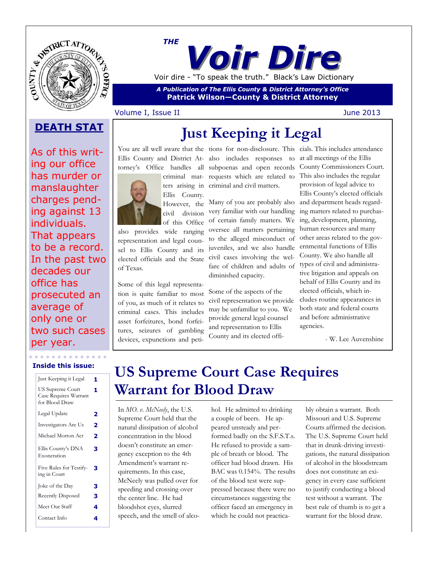

*Voir Dire THE* Voir dire - "To speak the truth." Black's Law Dictionary

*A Publication of The Ellis County & District Attorney's Office* **Patrick Wilson—County & District Attorney**

### Volume I, Issue II June 2013

### As of this writing our office has murder or manslaughter charges pending against 13 individuals. That appears to be a record. In the past two decades our office has prosecuted an average of only one or two such cases per year.

# **DEATH STAT** Just Keeping it Legal

Ellis County and District At-also includes responses to

Ellis County. However, the civil division

of this Office also provides wide ranging representation and legal counsel to Ellis County and its elected officials and the State of Texas.

Some of this legal representation is quite familiar to most of you, as much of it relates to criminal cases. This includes asset forfeitures, bond forfeitures, seizures of gambling devices, expunctions and peti-

torney's Office handles all subpoenas and open records criminal mat-requests which are related to ters arising in criminal and civil matters.

> Many of you are probably also and department heads regardvery familiar with our handling of certain family matters. We ing, development, planning, oversee all matters pertaining to the alleged misconduct of juveniles, and we also handle civil cases involving the welfare of children and adults of diminished capacity.

Some of the aspects of the civil representation we provide may be unfamiliar to you. We provide general legal counsel and representation to Ellis County and its elected offi-

You are all well aware that the tions for non-disclosure. This cials. This includes attendance at all meetings of the Ellis County Commissioners Court. This also includes the regular provision of legal advice to Ellis County's elected officials ing matters related to purchashuman resources and many other areas related to the governmental functions of Ellis County. We also handle all types of civil and administrative litigation and appeals on behalf of Ellis County and its elected officials, which includes routine appearances in both state and federal courts and before administrative agencies.

- W. Lee Auvenshine

### **Inside this issue:**

| Just Keeping it Legal                                       | 1 |
|-------------------------------------------------------------|---|
| US Supreme Court<br>Case Requires Warrant<br>for Blood Draw | 1 |
| Legal Update                                                | 2 |
| Investigators Are Us                                        | 2 |
| Michael Morton Act                                          | 2 |
| Ellis County's DNA<br>Exoneration                           | з |
| Five Rules for Testify-<br>ing in Court                     | з |
| Joke of the Day                                             | 3 |
| <b>Recently Disposed</b>                                    | 3 |
| Meet Our Staff                                              | 4 |
| Contact Info                                                | 4 |

### **US Supreme Court Case Requires Warrant for Blood Draw**

In *MO. v. McNeely*, the U.S. Supreme Court held that the natural dissipation of alcohol concentration in the blood doesn't constitute an emergency exception to the 4th Amendment's warrant requirements. In this case, McNeely was pulled over for speeding and crossing over the center line. He had bloodshot eyes, slurred speech, and the smell of alcohol. He admitted to drinking a couple of beers. He appeared unsteady and performed badly on the S.F.S.T.s. He refused to provide a sample of breath or blood. The officer had blood drawn. His BAC was 0.154%. The results of the blood test were suppressed because there were no circumstances suggesting the officer faced an emergency in which he could not practicably obtain a warrant. Both Missouri and U.S. Supreme Courts affirmed the decision. The U.S. Supreme Court held that in drunk-driving investigations, the natural dissipation of alcohol in the bloodstream does not constitute an exigency in every case sufficient to justify conducting a blood test without a warrant. The best rule of thumb is to get a warrant for the blood draw.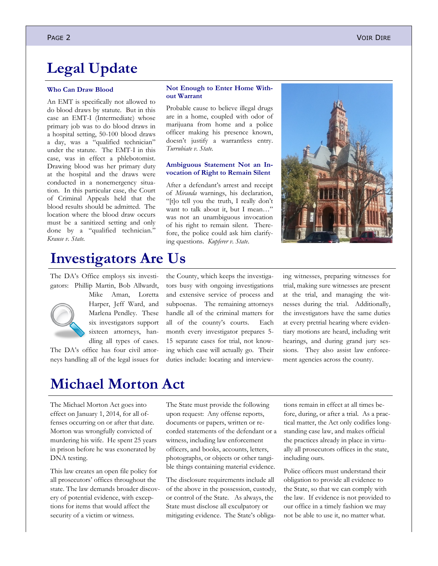### **Legal Update**

#### **Who Can Draw Blood**

An EMT is specifically not allowed to do blood draws by statute. But in this case an EMT-I (Intermediate) whose primary job was to do blood draws in a hospital setting, 50-100 blood draws a day, was a "qualified technician" under the statute. The EMT-I in this case, was in effect a phlebotomist. Drawing blood was her primary duty at the hospital and the draws were conducted in a nonemergency situation. In this particular case, the Court of Criminal Appeals held that the blood results should be admitted. The location where the blood draw occurs must be a sanitized setting and only done by a "qualified technician." *Krause v. State.*

#### **Not Enough to Enter Home Without Warrant**

Probable cause to believe illegal drugs are in a home, coupled with odor of marijuana from home and a police officer making his presence known, doesn't justify a warrantless entry. *Turrubiate v. State.*

#### **Ambiguous Statement Not an Invocation of Right to Remain Silent**

After a defendant's arrest and receipt of *Miranda* warnings, his declaration, "[t]o tell you the truth, I really don't want to talk about it, but I mean…" was not an unambiguous invocation of his right to remain silent. Therefore, the police could ask him clarifying questions. *Kupferer v. State*.



### **Investigators Are Us**

The DA's Office employs six investigators: Phillip Martin, Bob Allwardt,



Mike Aman, Loretta Harper, Jeff Ward, and Marlena Pendley. These six investigators support sixteen attorneys, handling all types of cases.

The DA's office has four civil attorneys handling all of the legal issues for the County, which keeps the investigators busy with ongoing investigations and extensive service of process and subpoenas. The remaining attorneys handle all of the criminal matters for all of the county's courts. Each month every investigator prepares 5- 15 separate cases for trial, not knowing which case will actually go. Their duties include: locating and interview-

ing witnesses, preparing witnesses for trial, making sure witnesses are present at the trial, and managing the witnesses during the trial. Additionally, the investigators have the same duties at every pretrial hearing where evidentiary motions are heard, including writ hearings, and during grand jury sessions. They also assist law enforcement agencies across the county.

### **Michael Morton Act**

The Michael Morton Act goes into effect on January 1, 2014, for all offenses occurring on or after that date. Morton was wrongfully convicted of murdering his wife. He spent 25 years in prison before he was exonerated by DNA testing.

This law creates an open file policy for all prosecutors' offices throughout the state. The law demands broader discovery of potential evidence, with exceptions for items that would affect the security of a victim or witness.

The State must provide the following upon request: Any offense reports, documents or papers, written or recorded statements of the defendant or a witness, including law enforcement officers, and books, accounts, letters, photographs, or objects or other tangible things containing material evidence.

The disclosure requirements include all of the above in the possession, custody, or control of the State. As always, the State must disclose all exculpatory or mitigating evidence. The State's obligations remain in effect at all times before, during, or after a trial. As a practical matter, the Act only codifies longstanding case law, and makes official the practices already in place in virtually all prosecutors offices in the state, including ours.

Police officers must understand their obligation to provide all evidence to the State, so that we can comply with the law. If evidence is not provided to our office in a timely fashion we may not be able to use it, no matter what.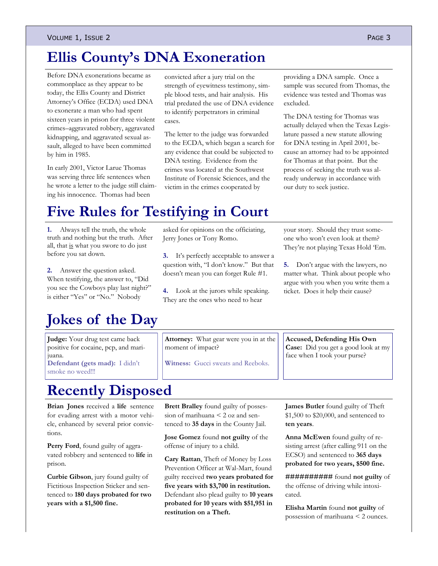# **Ellis County's DNA Exoneration**

Before DNA exonerations became as commonplace as they appear to be today, the Ellis County and District Attorney's Office (ECDA) used DNA to exonerate a man who had spent sixteen years in prison for three violent crimes–aggravated robbery, aggravated kidnapping, and aggravated sexual assault, alleged to have been committed by him in 1985.

In early 2001, Victor Larue Thomas was serving three life sentences when he wrote a letter to the judge still claiming his innocence. Thomas had been

convicted after a jury trial on the strength of eyewitness testimony, simple blood tests, and hair analysis. His trial predated the use of DNA evidence to identify perpetrators in criminal cases.

The letter to the judge was forwarded to the ECDA, which began a search for any evidence that could be subjected to DNA testing. Evidence from the crimes was located at the Southwest Institute of Forensic Sciences, and the victim in the crimes cooperated by

providing a DNA sample. Once a sample was secured from Thomas, the evidence was tested and Thomas was excluded.

The DNA testing for Thomas was actually delayed when the Texas Legislature passed a new statute allowing for DNA testing in April 2001, because an attorney had to be appointed for Thomas at that point. But the process of seeking the truth was already underway in accordance with our duty to seek justice.

# **Five Rules for Testifying in Court**

**1.** Always tell the truth, the whole truth and nothing but the truth. After all, that is what you swore to do just before you sat down.

**2.** Answer the question asked. When testifying, the answer to, "Did you see the Cowboys play last night?" is either "Yes" or "No." Nobody

# **Jokes of the Day**

**Judge:** Your drug test came back positive for cocaine, pcp, and marijuana.

**Defendant (gets mad):** I didn't smoke no weed!!!

asked for opinions on the officiating, Jerry Jones or Tony Romo.

**3.** It's perfectly acceptable to answer a question with, "I don't know." But that doesn't mean you can forget Rule #1.

**4.** Look at the jurors while speaking. They are the ones who need to hear

your story. Should they trust someone who won't even look at them? They're not playing Texas Hold 'Em.

**5.** Don't argue with the lawyers, no matter what. Think about people who argue with you when you write them a ticket. Does it help their cause?

**Attorney:** What gear were you in at the moment of impact?

**Witness:** Gucci sweats and Reeboks.

**Accused, Defending His Own Case:** Did you get a good look at my face when I took your purse?

# **Recently Disposed**

**Brian Jones** received a **life** sentence for evading arrest with a motor vehicle, enhanced by several prior convictions.

Perry Ford, found guilty of aggravated robbery and sentenced to **life** in prison.

**Curbie Gibson**, jury found guilty of Fictitious Inspection Sticker and sentenced to **180 days probated for two years with a \$1,500 fine.**

**Brett Bralley** found guilty of possession of marihuana < 2 oz and sentenced to **35 days** in the County Jail.

**Jose Gomez** found **not guilty** of the offense of injury to a child.

**Cary Rattan**, Theft of Money by Loss Prevention Officer at Wal-Mart, found guilty received **two years probated for five years with \$3,700 in restitution.** Defendant also plead guilty to **10 years probated for 10 years with \$51,951 in restitution on a Theft.**

**James Butler** found guilty of Theft \$1,500 to \$20,000, and sentenced to **ten years**.

**Anna McEwen** found guilty of resisting arrest (after calling 911 on the ECSO) and sentenced to **365 days probated for two years, \$500 fine.**

**##########** found **not guilty** of the offense of driving while intoxicated.

**Elisha Martin** found **not guilty** of possession of marihuana < 2 ounces.